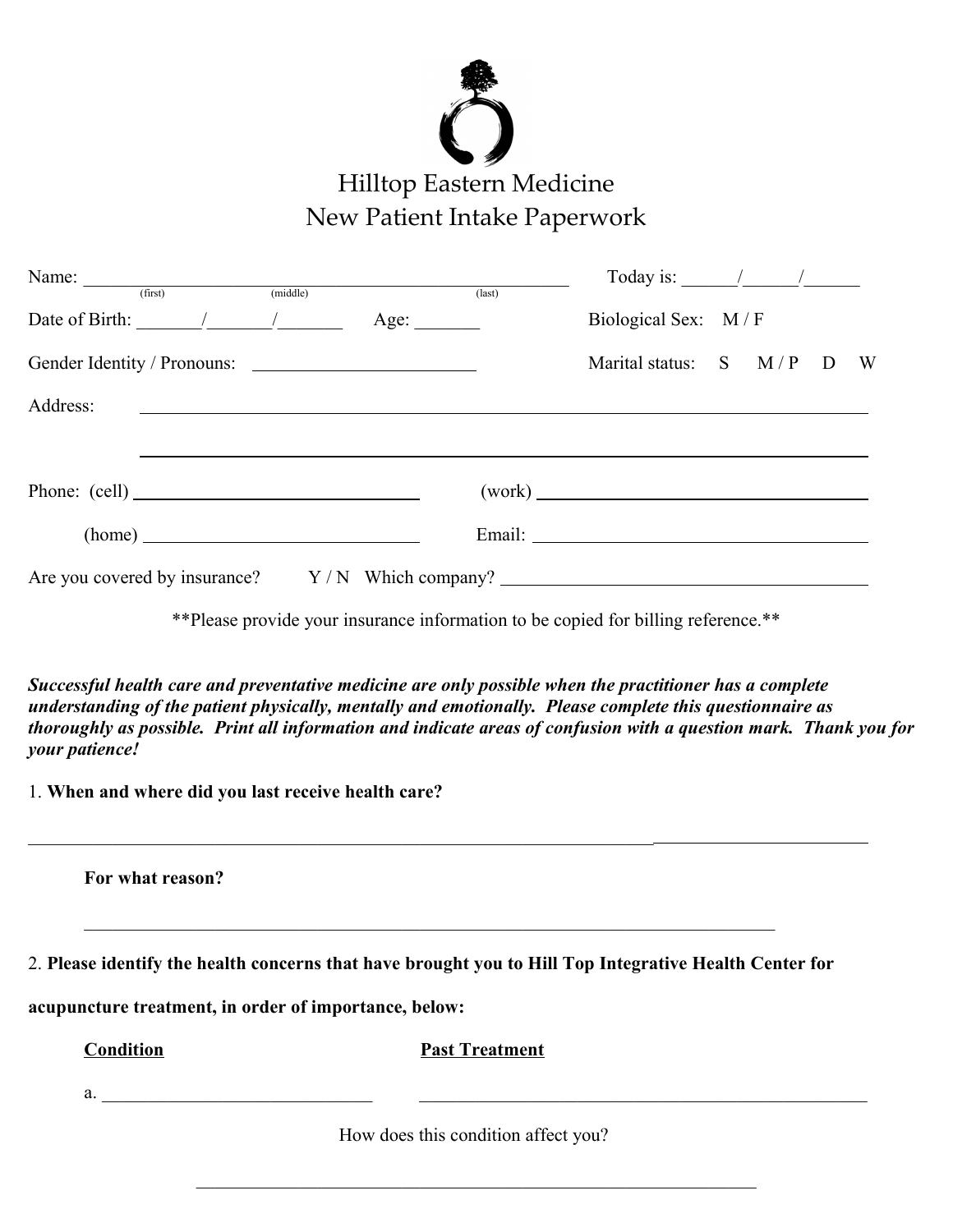

|                                                                                |                                                                                                                       |                      | $last)$ | Today is: $\frac{1}{\sqrt{1-\frac{1}{2}}}\frac{1}{\sqrt{1-\frac{1}{2}}}\frac{1}{\sqrt{1-\frac{1}{2}}}\frac{1}{\sqrt{1-\frac{1}{2}}}\frac{1}{\sqrt{1-\frac{1}{2}}}\frac{1}{\sqrt{1-\frac{1}{2}}}\frac{1}{\sqrt{1-\frac{1}{2}}}\frac{1}{\sqrt{1-\frac{1}{2}}}\frac{1}{\sqrt{1-\frac{1}{2}}}\frac{1}{\sqrt{1-\frac{1}{2}}}\frac{1}{\sqrt{1-\frac{1}{2}}}\frac{1}{\sqrt{1-\frac{1}{2}}}\frac{1}{\sqrt{1-\frac{1}{2}}}\frac$ |  |   |
|--------------------------------------------------------------------------------|-----------------------------------------------------------------------------------------------------------------------|----------------------|---------|-------------------------------------------------------------------------------------------------------------------------------------------------------------------------------------------------------------------------------------------------------------------------------------------------------------------------------------------------------------------------------------------------------------------------|--|---|
| Date of Birth: $\frac{1}{\sqrt{1-\frac{1}{2}}}\frac{1}{\sqrt{1-\frac{1}{2}}}}$ |                                                                                                                       | Age: $\qquad \qquad$ |         | Biological Sex: M/F                                                                                                                                                                                                                                                                                                                                                                                                     |  |   |
| Gender Identity / Pronouns:                                                    |                                                                                                                       |                      |         | Marital status: $S \t M/P \t D$                                                                                                                                                                                                                                                                                                                                                                                         |  | W |
| Address:                                                                       | <u> 1980 - Andrea State Barbara, amerikan personal di sebagai personal di sebagai personal di sebagai personal di</u> |                      |         |                                                                                                                                                                                                                                                                                                                                                                                                                         |  |   |
|                                                                                |                                                                                                                       |                      |         |                                                                                                                                                                                                                                                                                                                                                                                                                         |  |   |
|                                                                                |                                                                                                                       |                      |         | (work)                                                                                                                                                                                                                                                                                                                                                                                                                  |  |   |
|                                                                                | (home)                                                                                                                |                      |         |                                                                                                                                                                                                                                                                                                                                                                                                                         |  |   |
|                                                                                |                                                                                                                       |                      |         |                                                                                                                                                                                                                                                                                                                                                                                                                         |  |   |

\*\*Please provide your insurance information to be copied for billing reference.\*\*

*Successful health care and preventative medicine are only possible when the practitioner has a complete understanding of the patient physically, mentally and emotionally. Please complete this questionnaire as thoroughly as possible. Print all information and indicate areas of confusion with a question mark. Thank you for your patience!*

1. **When and where did you last receive health care?**

**For what reason?** 

2. **Please identify the health concerns that have brought you to Hill Top Integrative Health Center for**

 $\mathcal{L}_\text{max}$  , and the contribution of the contribution of the contribution of the contribution of the contribution of the contribution of the contribution of the contribution of the contribution of the contribution of t

 $\mathcal{L}_\text{max}$  , and the contribution of the contribution of the contribution of the contribution of the contribution of the contribution of the contribution of the contribution of the contribution of the contribution of t

**acupuncture treatment, in order of importance, below:**

**Condition Past Treatment**

 $a.$ 

How does this condition affect you?

 $\mathcal{L}_\text{max}$  and the contract of the contract of the contract of the contract of the contract of the contract of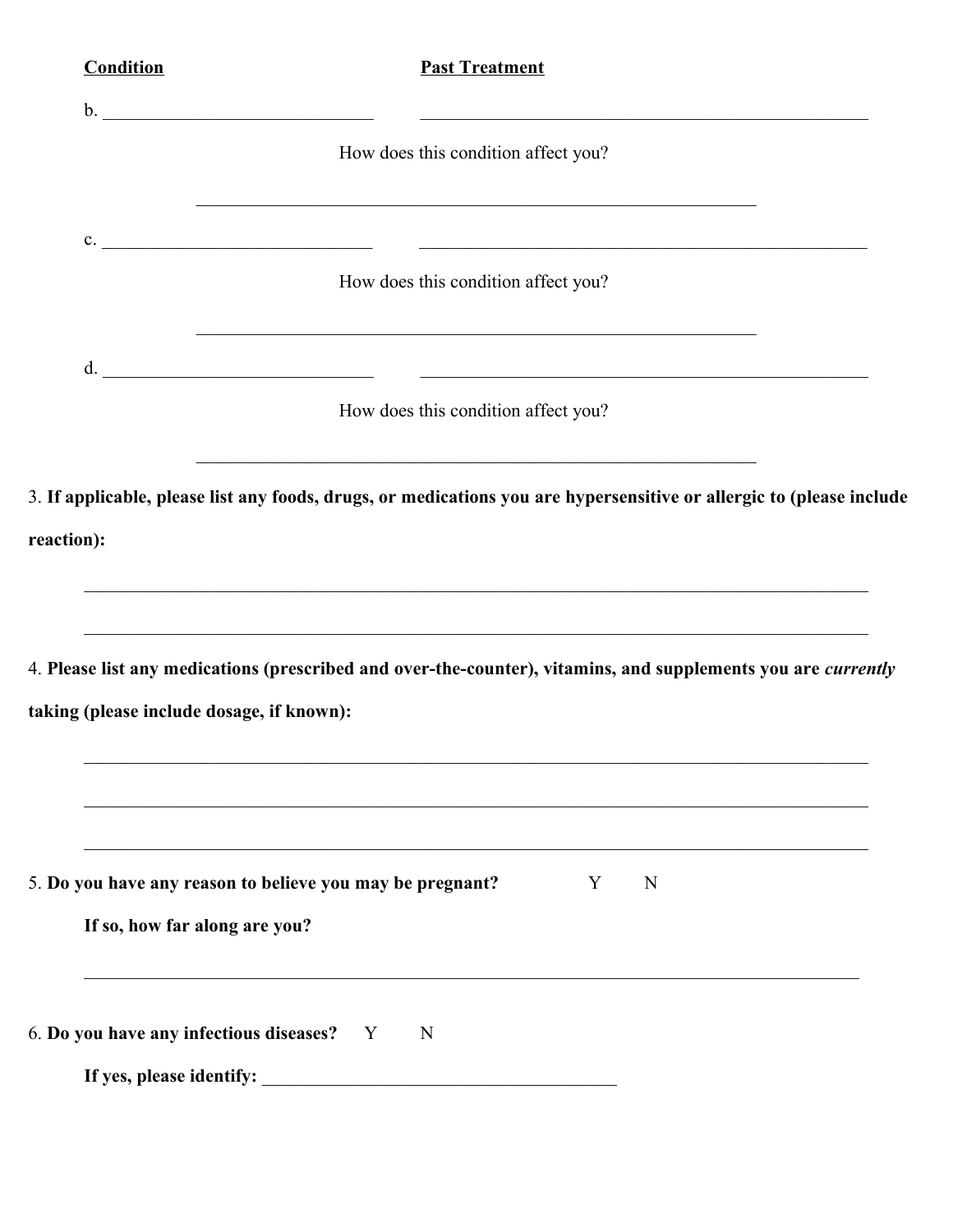| <b>Condition</b>                          | <b>Past Treatment</b>                                                                                                                                                                                                                         |  |
|-------------------------------------------|-----------------------------------------------------------------------------------------------------------------------------------------------------------------------------------------------------------------------------------------------|--|
|                                           |                                                                                                                                                                                                                                               |  |
|                                           | How does this condition affect you?                                                                                                                                                                                                           |  |
|                                           |                                                                                                                                                                                                                                               |  |
|                                           | c.<br>How does this condition affect you?                                                                                                                                                                                                     |  |
| $d_{\cdot}$                               | <u> 1989 - Andrea Santa Andrea Santa Andrea Santa Andrea Santa Andrea Santa Andrea Santa Andrea Santa Andrea San</u>                                                                                                                          |  |
|                                           | How does this condition affect you?                                                                                                                                                                                                           |  |
|                                           | <u> 1989 - Johann John Stein, mars an deutscher Stein und der Stein und der Stein und der Stein und der Stein und</u><br>3. If applicable, please list any foods, drugs, or medications you are hypersensitive or allergic to (please include |  |
| reaction):                                |                                                                                                                                                                                                                                               |  |
|                                           | ,我们也不能在这里的人,我们也不能在这里的人,我们也不能在这里的人,我们也不能在这里的人,我们也不能在这里的人,我们也不能在这里的人,我们也不能在这里的人,我们也                                                                                                                                                             |  |
|                                           | <u> 1989 - Johann Stoff, deutscher Stoffen und der Stoffen und der Stoffen und der Stoffen und der Stoffen und de</u><br>4. Please list any medications (prescribed and over-the-counter), vitamins, and supplements you are currently        |  |
| taking (please include dosage, if known): |                                                                                                                                                                                                                                               |  |
|                                           |                                                                                                                                                                                                                                               |  |
|                                           |                                                                                                                                                                                                                                               |  |
|                                           | 5. Do you have any reason to believe you may be pregnant?<br>Y<br>N                                                                                                                                                                           |  |
| If so, how far along are you?             |                                                                                                                                                                                                                                               |  |
| 6. Do you have any infectious diseases? Y | $\mathbf N$                                                                                                                                                                                                                                   |  |
|                                           |                                                                                                                                                                                                                                               |  |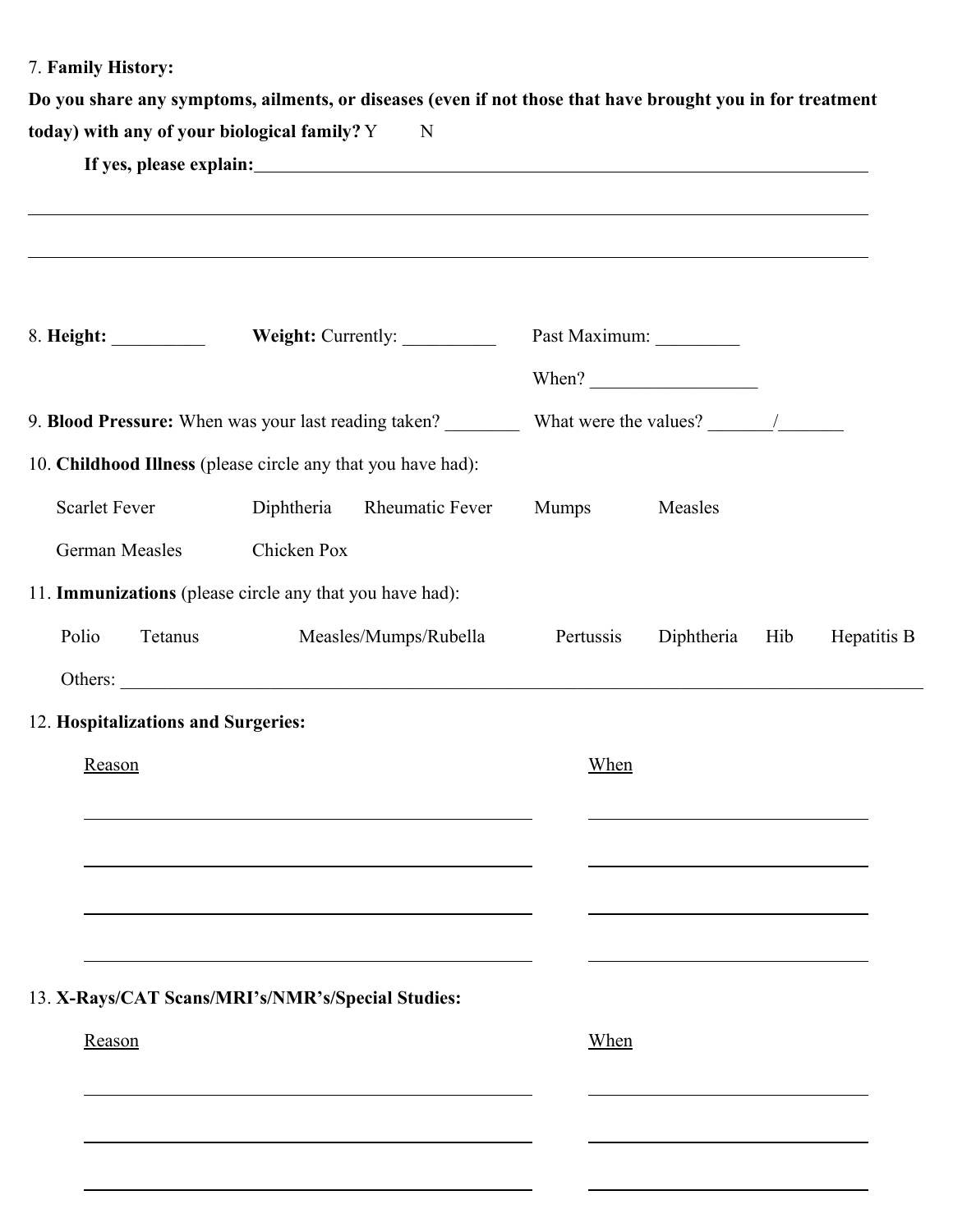7. **Family History:**

 $\overline{a}$ 

 $\overline{a}$ 

 $\overline{a}$ 

|                                              | Do you share any symptoms, ailments, or diseases (even if not those that have brought you in for treatment |
|----------------------------------------------|------------------------------------------------------------------------------------------------------------|
| today) with any of your biological family? Y |                                                                                                            |
| If yes, please explain:                      |                                                                                                            |

|                                                              |             | Weight: Currently: __________                                                                                                                                                                                                 |           | Past Maximum: ___________<br>When? $\qquad \qquad$                                        |     |             |
|--------------------------------------------------------------|-------------|-------------------------------------------------------------------------------------------------------------------------------------------------------------------------------------------------------------------------------|-----------|-------------------------------------------------------------------------------------------|-----|-------------|
|                                                              |             |                                                                                                                                                                                                                               |           |                                                                                           |     |             |
| 10. Childhood Illness (please circle any that you have had): |             |                                                                                                                                                                                                                               |           |                                                                                           |     |             |
| <b>Scarlet Fever</b>                                         | Diphtheria  | <b>Rheumatic Fever</b>                                                                                                                                                                                                        | Mumps     | Measles                                                                                   |     |             |
| <b>German Measles</b>                                        | Chicken Pox |                                                                                                                                                                                                                               |           |                                                                                           |     |             |
| 11. Immunizations (please circle any that you have had):     |             |                                                                                                                                                                                                                               |           |                                                                                           |     |             |
| Polio<br>Tetanus                                             |             | Measles/Mumps/Rubella                                                                                                                                                                                                         | Pertussis | Diphtheria                                                                                | Hib | Hepatitis B |
| Others:                                                      |             |                                                                                                                                                                                                                               |           |                                                                                           |     |             |
| 12. Hospitalizations and Surgeries:                          |             |                                                                                                                                                                                                                               |           |                                                                                           |     |             |
| Reason                                                       |             |                                                                                                                                                                                                                               | When      |                                                                                           |     |             |
|                                                              |             | the control of the control of the control of the control of the control of the control of the control of the control of the control of the control of the control of the control of the control of the control of the control |           | the control of the control of the control of the control of the control of the control of |     |             |
|                                                              |             | and the control of the control of the control of the control of the control of the control of the control of the                                                                                                              |           |                                                                                           |     |             |
|                                                              |             |                                                                                                                                                                                                                               |           |                                                                                           |     |             |
|                                                              |             |                                                                                                                                                                                                                               |           |                                                                                           |     |             |
| 13. X-Rays/CAT Scans/MRI's/NMR's/Special Studies:            |             |                                                                                                                                                                                                                               |           |                                                                                           |     |             |
| Reason                                                       |             |                                                                                                                                                                                                                               | When      |                                                                                           |     |             |
|                                                              |             |                                                                                                                                                                                                                               |           |                                                                                           |     |             |
|                                                              |             |                                                                                                                                                                                                                               |           |                                                                                           |     |             |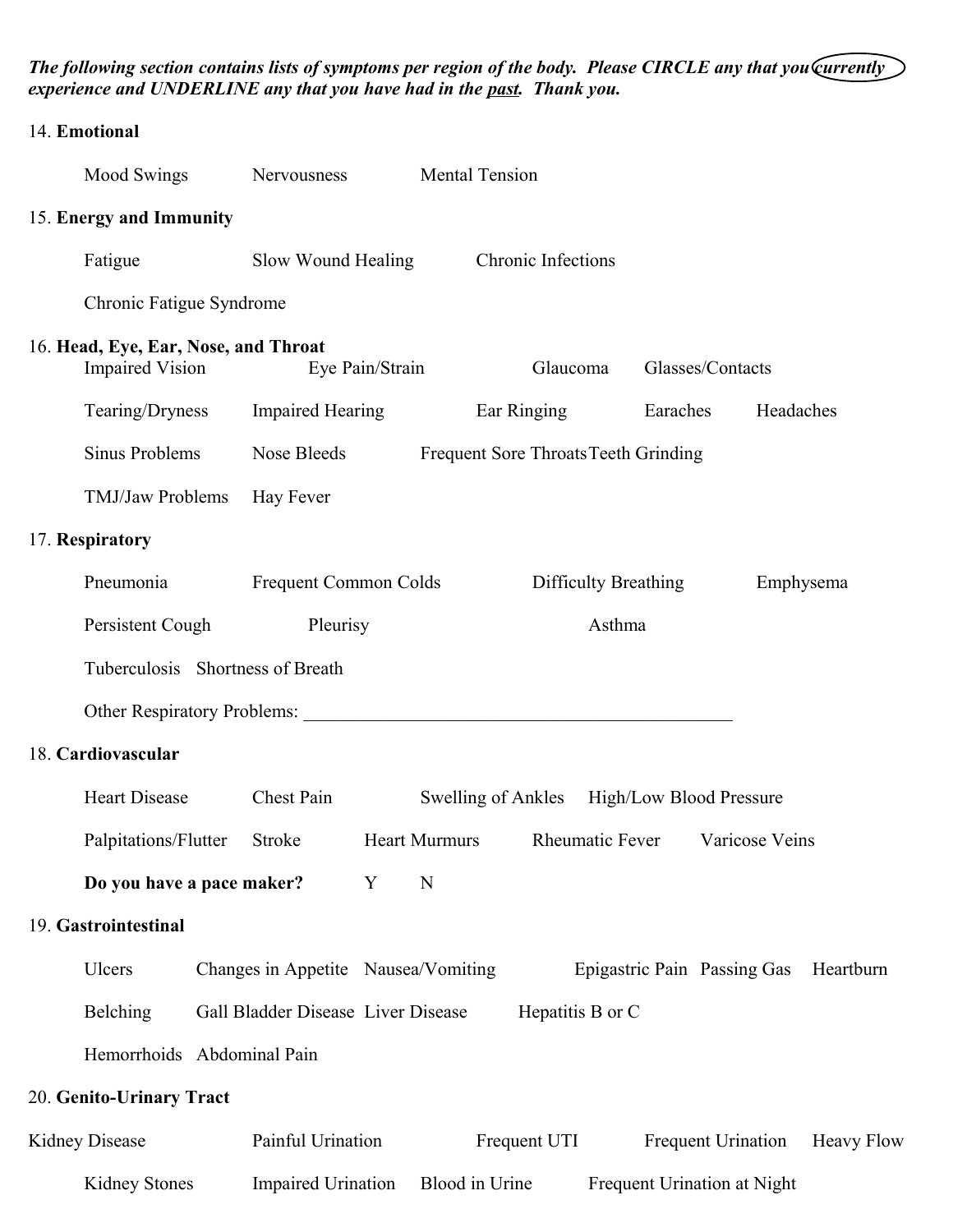*The following section contains lists of symptoms per region of the body. Please CIRCLE any that you currently experience and UNDERLINE any that you have had in the past. Thank you.*

| 14. Emotional                                                  |                                     |                 |                                      |                      |                             |                |                   |
|----------------------------------------------------------------|-------------------------------------|-----------------|--------------------------------------|----------------------|-----------------------------|----------------|-------------------|
| Mood Swings                                                    | Nervousness                         |                 | <b>Mental Tension</b>                |                      |                             |                |                   |
| 15. Energy and Immunity                                        |                                     |                 |                                      |                      |                             |                |                   |
| Fatigue                                                        | Slow Wound Healing                  |                 |                                      | Chronic Infections   |                             |                |                   |
| Chronic Fatigue Syndrome                                       |                                     |                 |                                      |                      |                             |                |                   |
| 16. Head, Eye, Ear, Nose, and Throat<br><b>Impaired Vision</b> |                                     | Eye Pain/Strain |                                      | Glaucoma             | Glasses/Contacts            |                |                   |
| Tearing/Dryness                                                | <b>Impaired Hearing</b>             |                 | Ear Ringing                          |                      | Earaches                    | Headaches      |                   |
| <b>Sinus Problems</b>                                          | Nose Bleeds                         |                 | Frequent Sore Throats Teeth Grinding |                      |                             |                |                   |
| TMJ/Jaw Problems                                               | Hay Fever                           |                 |                                      |                      |                             |                |                   |
| 17. Respiratory                                                |                                     |                 |                                      |                      |                             |                |                   |
| Pneumonia                                                      | Frequent Common Colds               |                 |                                      | Difficulty Breathing |                             | Emphysema      |                   |
| Persistent Cough                                               | Pleurisy                            |                 |                                      | Asthma               |                             |                |                   |
| Tuberculosis Shortness of Breath                               |                                     |                 |                                      |                      |                             |                |                   |
| Other Respiratory Problems:                                    |                                     |                 |                                      |                      |                             |                |                   |
| 18. Cardiovascular                                             |                                     |                 |                                      |                      |                             |                |                   |
| <b>Heart Disease</b>                                           | Chest Pain                          |                 | Swelling of Ankles                   |                      | High/Low Blood Pressure     |                |                   |
| Palpitations/Flutter                                           | Stroke                              |                 | <b>Heart Murmurs</b>                 | Rheumatic Fever      |                             | Varicose Veins |                   |
| Do you have a pace maker?                                      |                                     | Y               | N                                    |                      |                             |                |                   |
| 19. Gastrointestinal                                           |                                     |                 |                                      |                      |                             |                |                   |
| Ulcers                                                         | Changes in Appetite Nausea/Vomiting |                 |                                      |                      | Epigastric Pain Passing Gas |                | Heartburn         |
| <b>Belching</b>                                                | Gall Bladder Disease Liver Disease  |                 |                                      | Hepatitis B or C     |                             |                |                   |
| Hemorrhoids Abdominal Pain                                     |                                     |                 |                                      |                      |                             |                |                   |
| 20. Genito-Urinary Tract                                       |                                     |                 |                                      |                      |                             |                |                   |
| <b>Kidney Disease</b>                                          | Painful Urination                   |                 | Frequent UTI                         |                      | Frequent Urination          |                | <b>Heavy Flow</b> |
| <b>Kidney Stones</b>                                           | <b>Impaired Urination</b>           |                 | Blood in Urine                       |                      | Frequent Urination at Night |                |                   |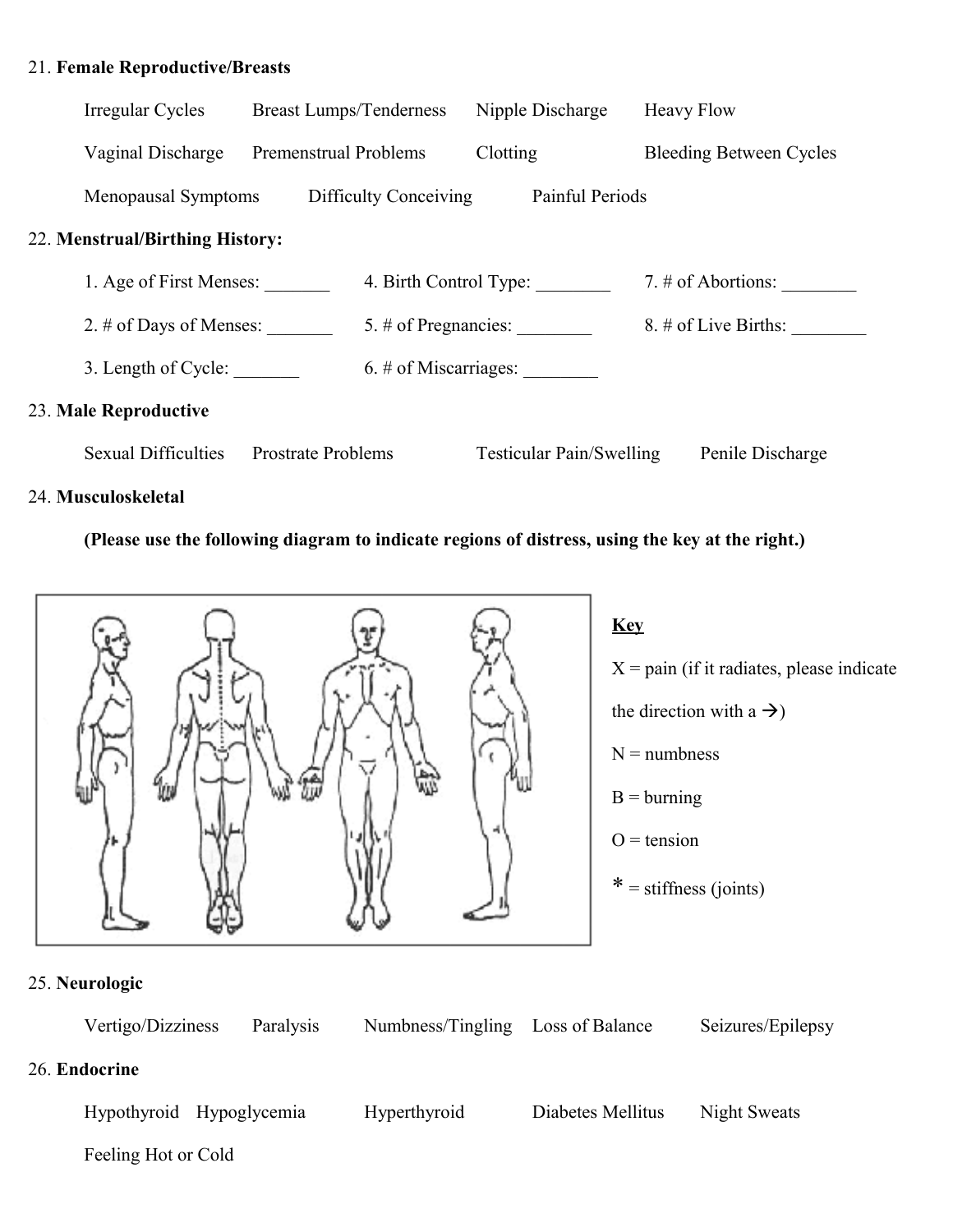## 21. **Female Reproductive/Breasts**

| Irregular Cycles                | <b>Breast Lumps/Tenderness</b> |                          |          | Nipple Discharge                | <b>Heavy Flow</b> |                                |
|---------------------------------|--------------------------------|--------------------------|----------|---------------------------------|-------------------|--------------------------------|
| Vaginal Discharge               | Premenstrual Problems          |                          | Clotting |                                 |                   | <b>Bleeding Between Cycles</b> |
| Menopausal Symptoms             |                                | Difficulty Conceiving    |          | Painful Periods                 |                   |                                |
| 22. Menstrual/Birthing History: |                                |                          |          |                                 |                   |                                |
| 1. Age of First Menses:         |                                | 4. Birth Control Type:   |          |                                 |                   | 7. $\#$ of Abortions:          |
| 2. $\#$ of Days of Menses:      |                                | 5. $\#$ of Pregnancies:  |          |                                 |                   | $8. \#$ of Live Births:        |
| 3. Length of Cycle:             |                                | $6. \#$ of Miscarriages: |          |                                 |                   |                                |
| 23. Male Reproductive           |                                |                          |          |                                 |                   |                                |
| <b>Sexual Difficulties</b>      | <b>Prostrate Problems</b>      |                          |          | <b>Testicular Pain/Swelling</b> |                   | Penile Discharge               |

## 24. **Musculoskeletal**

### **(Please use the following diagram to indicate regions of distress, using the key at the right.)**



**Key**  $X = \text{pain}$  (if it radiates, please indicate the direction with a  $\rightarrow$ )  $N =$  numbness  $B =$ burning  $O = t$ ension  $* =$  stiffness (joints)

# 25. **Neurologic**

| Vertigo/Dizziness        | Paralysis | Numbness/Tingling | Loss of Balance   | Seizures/Epilepsy |
|--------------------------|-----------|-------------------|-------------------|-------------------|
| 26. Endocrine            |           |                   |                   |                   |
| Hypothyroid Hypoglycemia |           | Hyperthyroid      | Diabetes Mellitus | Night Sweats      |

Feeling Hot or Cold